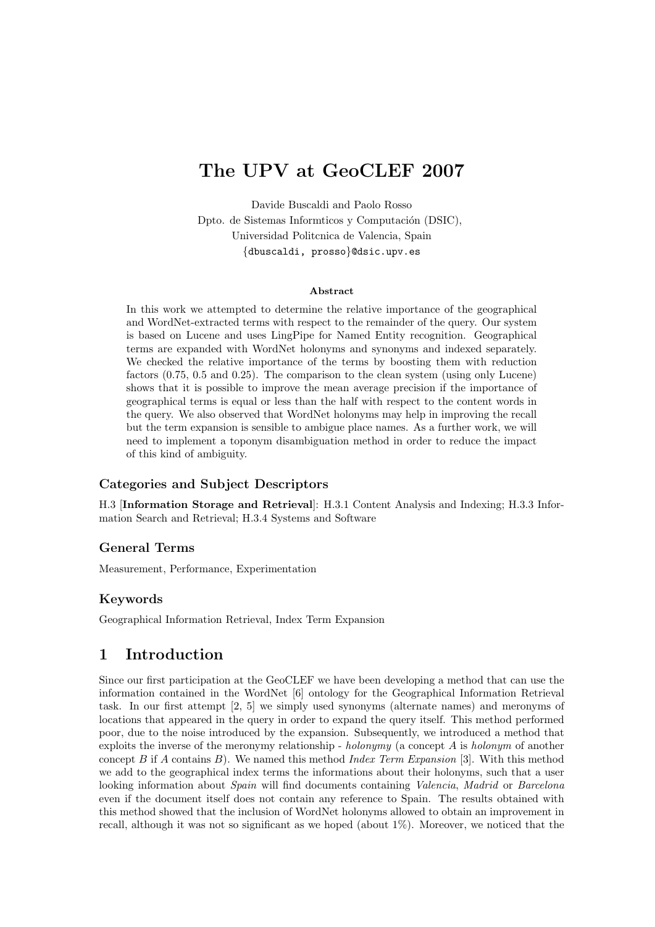# The UPV at GeoCLEF 2007

Davide Buscaldi and Paolo Rosso Dpto. de Sistemas Informticos y Computación (DSIC), Universidad Politcnica de Valencia, Spain {dbuscaldi, prosso}@dsic.upv.es

#### Abstract

In this work we attempted to determine the relative importance of the geographical and WordNet-extracted terms with respect to the remainder of the query. Our system is based on Lucene and uses LingPipe for Named Entity recognition. Geographical terms are expanded with WordNet holonyms and synonyms and indexed separately. We checked the relative importance of the terms by boosting them with reduction factors (0.75, 0.5 and 0.25). The comparison to the clean system (using only Lucene) shows that it is possible to improve the mean average precision if the importance of geographical terms is equal or less than the half with respect to the content words in the query. We also observed that WordNet holonyms may help in improving the recall but the term expansion is sensible to ambigue place names. As a further work, we will need to implement a toponym disambiguation method in order to reduce the impact of this kind of ambiguity.

#### Categories and Subject Descriptors

H.3 [Information Storage and Retrieval]: H.3.1 Content Analysis and Indexing; H.3.3 Information Search and Retrieval; H.3.4 Systems and Software

### General Terms

Measurement, Performance, Experimentation

### Keywords

Geographical Information Retrieval, Index Term Expansion

## 1 Introduction

Since our first participation at the GeoCLEF we have been developing a method that can use the information contained in the WordNet [6] ontology for the Geographical Information Retrieval task. In our first attempt [2, 5] we simply used synonyms (alternate names) and meronyms of locations that appeared in the query in order to expand the query itself. This method performed poor, due to the noise introduced by the expansion. Subsequently, we introduced a method that exploits the inverse of the meronymy relationship - holonymy (a concept  $A$  is holonym of another concept  $B$  if  $A$  contains  $B$ ). We named this method Index Term Expansion [3]. With this method we add to the geographical index terms the informations about their holonyms, such that a user looking information about Spain will find documents containing Valencia, Madrid or Barcelona even if the document itself does not contain any reference to Spain. The results obtained with this method showed that the inclusion of WordNet holonyms allowed to obtain an improvement in recall, although it was not so significant as we hoped (about 1%). Moreover, we noticed that the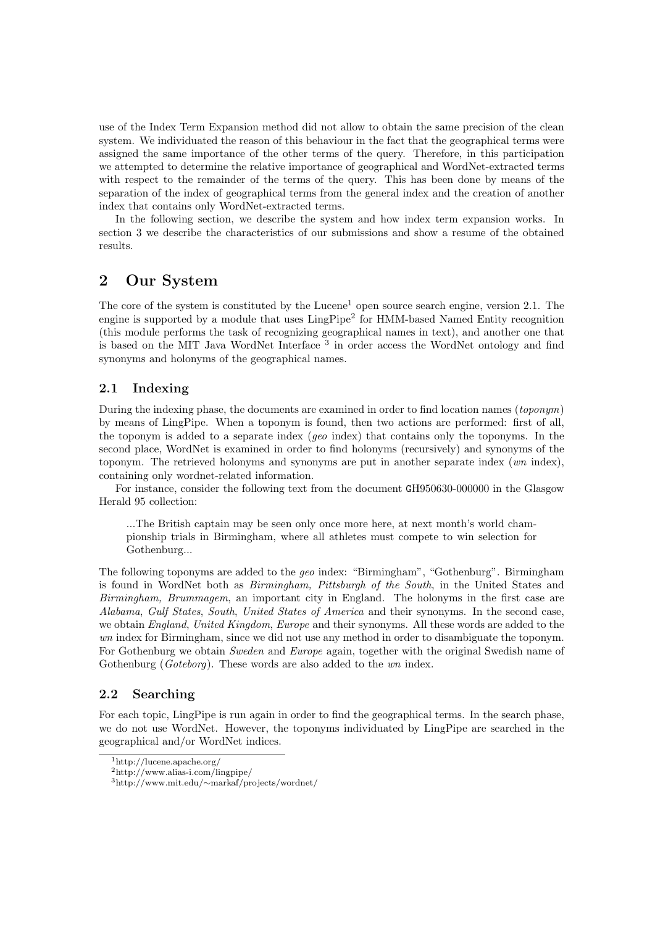use of the Index Term Expansion method did not allow to obtain the same precision of the clean system. We individuated the reason of this behaviour in the fact that the geographical terms were assigned the same importance of the other terms of the query. Therefore, in this participation we attempted to determine the relative importance of geographical and WordNet-extracted terms with respect to the remainder of the terms of the query. This has been done by means of the separation of the index of geographical terms from the general index and the creation of another index that contains only WordNet-extracted terms.

In the following section, we describe the system and how index term expansion works. In section 3 we describe the characteristics of our submissions and show a resume of the obtained results.

# 2 Our System

The core of the system is constituted by the Lucene<sup>1</sup> open source search engine, version  $2.1$ . The engine is supported by a module that uses LingPipe<sup>2</sup> for HMM-based Named Entity recognition (this module performs the task of recognizing geographical names in text), and another one that is based on the MIT Java WordNet Interface<sup>3</sup> in order access the WordNet ontology and find synonyms and holonyms of the geographical names.

## 2.1 Indexing

During the indexing phase, the documents are examined in order to find location names  $(toponym)$ by means of LingPipe. When a toponym is found, then two actions are performed: first of all, the toponym is added to a separate index (geo index) that contains only the toponyms. In the second place, WordNet is examined in order to find holonyms (recursively) and synonyms of the toponym. The retrieved holonyms and synonyms are put in another separate index (wn index), containing only wordnet-related information.

For instance, consider the following text from the document GH950630-000000 in the Glasgow Herald 95 collection:

...The British captain may be seen only once more here, at next month's world championship trials in Birmingham, where all athletes must compete to win selection for Gothenburg...

The following toponyms are added to the geo index: "Birmingham", "Gothenburg". Birmingham is found in WordNet both as Birmingham, Pittsburgh of the South, in the United States and Birmingham, Brummagem, an important city in England. The holonyms in the first case are Alabama, Gulf States, South, United States of America and their synonyms. In the second case, we obtain *England, United Kingdom, Europe* and their synonyms. All these words are added to the wn index for Birmingham, since we did not use any method in order to disambiguate the toponym. For Gothenburg we obtain Sweden and Europe again, together with the original Swedish name of Gothenburg (*Goteborg*). These words are also added to the *wn* index.

### 2.2 Searching

For each topic, LingPipe is run again in order to find the geographical terms. In the search phase, we do not use WordNet. However, the toponyms individuated by LingPipe are searched in the geographical and/or WordNet indices.

<sup>1</sup>http://lucene.apache.org/

<sup>2</sup>http://www.alias-i.com/lingpipe/

<sup>3</sup>http://www.mit.edu/∼markaf/projects/wordnet/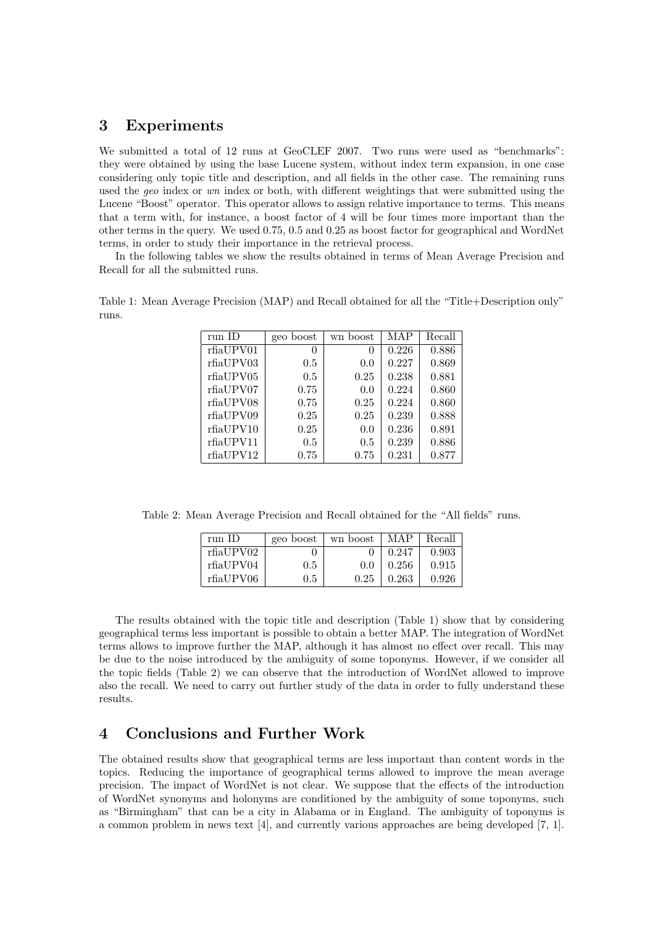## 3 Experiments

We submitted a total of 12 runs at GeoCLEF 2007. Two runs were used as "benchmarks": they were obtained by using the base Lucene system, without index term expansion, in one case considering only topic title and description, and all fields in the other case. The remaining runs used the geo index or wn index or both, with different weightings that were submitted using the Lucene "Boost" operator. This operator allows to assign relative importance to terms. This means that a term with, for instance, a boost factor of 4 will be four times more important than the other terms in the query. We used 0.75, 0.5 and 0.25 as boost factor for geographical and WordNet terms, in order to study their importance in the retrieval process.

In the following tables we show the results obtained in terms of Mean Average Precision and Recall for all the submitted runs.

| run ID    | boost<br>geo | wn boost      | MAP   | Recall |
|-----------|--------------|---------------|-------|--------|
| rfiaUPV01 | $\theta$     | $\theta$      | 0.226 | 0.886  |
| rfiaUPV03 | 0.5          | 0.0           | 0.227 | 0.869  |
| rfiaUPV05 | 0.5          | 0.25          | 0.238 | 0.881  |
| rfiaUPV07 | 0.75         | 0.0           | 0.224 | 0.860  |
| rfiaUPV08 | 0.75         | 0.25          | 0.224 | 0.860  |
| rfiaUPV09 | 0.25         | 0.25          | 0.239 | 0.888  |
| rfiaUPV10 | 0.25         | 0.0           | 0.236 | 0.891  |
| rfiaUPV11 | 0.5          | $0.5^{\circ}$ | 0.239 | 0.886  |
| rfiaUPV12 | 0.75         | 0.75          | 0.231 | 0.877  |

Table 1: Mean Average Precision (MAP) and Recall obtained for all the "Title+Description only" runs.

Table 2: Mean Average Precision and Recall obtained for the "All fields" runs.

| run ID    | geo boost | wn boost | MAP   | Recall |
|-----------|-----------|----------|-------|--------|
| rfiaUPV02 |           |          | 0.247 | 0.903  |
| rfiaUPV04 | 0.5       | 0.0      | 0.256 | 0.915  |
| rfiaUPV06 | 0.5       | 0.25     | 0.263 | 0.926  |

The results obtained with the topic title and description (Table 1) show that by considering geographical terms less important is possible to obtain a better MAP. The integration of WordNet terms allows to improve further the MAP, although it has almost no effect over recall. This may be due to the noise introduced by the ambiguity of some toponyms. However, if we consider all the topic fields (Table 2) we can observe that the introduction of WordNet allowed to improve also the recall. We need to carry out further study of the data in order to fully understand these results.

## 4 Conclusions and Further Work

The obtained results show that geographical terms are less important than content words in the topics. Reducing the importance of geographical terms allowed to improve the mean average precision. The impact of WordNet is not clear. We suppose that the effects of the introduction of WordNet synonyms and holonyms are conditioned by the ambiguity of some toponyms, such as "Birmingham" that can be a city in Alabama or in England. The ambiguity of toponyms is a common problem in news text [4], and currently various approaches are being developed [7, 1].